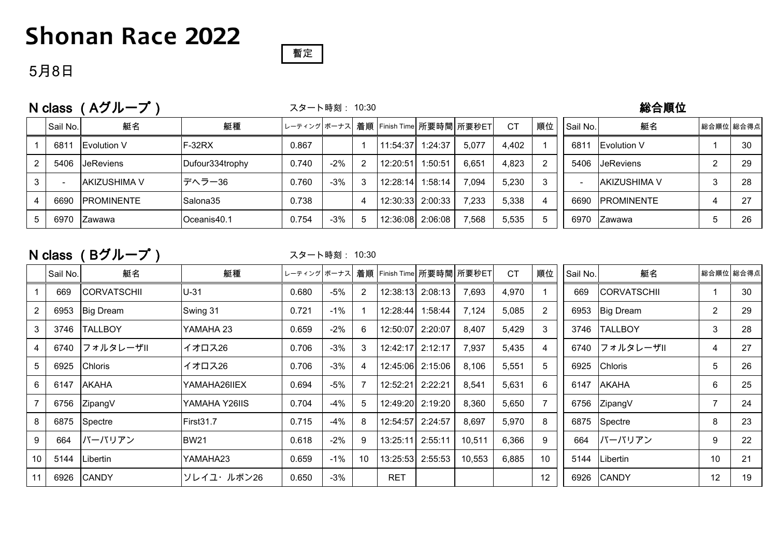## **Shonan Race 2022**



#### 5月8日

| N class |          | (Aグループ                | スタート時刻: 10:30   |       |       |                |                                           |                  |       |       |    |                          | 総合順位                 |           |     |  |  |
|---------|----------|-----------------------|-----------------|-------|-------|----------------|-------------------------------------------|------------------|-------|-------|----|--------------------------|----------------------|-----------|-----|--|--|
|         | Sail No. | 艇名                    | 艇種              |       |       |                | レーティング ボーナス 着順   Finish Time  所要時間  所要秒ET |                  |       | CT    | 順位 | Sail No.                 | 艇名                   | 総合順位 総合得点 |     |  |  |
|         | 6811     | <b>I</b> Evolution V  | IF-32RX         | 0.867 |       |                | 11:54:37 1:24:37                          |                  | 5,077 | 4,402 |    | 6811                     | <b>I</b> Evolution V |           | -30 |  |  |
|         |          | 5406 <b>JeReviens</b> | Dufour334trophy | 0.740 | $-2%$ | $\overline{2}$ | 12:20:51                                  | 1:50:51          | 6.651 | 4.823 |    | 5406                     | <b>JeReviens</b>     | റ         | -29 |  |  |
|         |          | AKIZUSHIMA V          | デヘラー36          | 0.760 | $-3%$ | 3              | 12:28:14                                  | 1:58:14          | 7,094 | 5,230 |    | $\overline{\phantom{a}}$ | IAKIZUSHIMA V        | 3         | 28  |  |  |
|         | 6690     | <b>IPROMINENTE</b>    | Salona35        | 0.738 |       | 4              | 12:30:33 2:00:33                          |                  | 7.233 | 5,338 |    | 6690                     | <b>IPROMINENTE</b>   |           | 27  |  |  |
|         | 6970     | IZawawa               | Oceanis40.1     | 0.754 | $-3%$ | 5              |                                           | 12:36:08 2:06:08 | 7.568 | 5.535 |    | 6970                     | <b>IZawawa</b>       | b         | 26  |  |  |

#### N class (Bグループ)

スタート時刻: 10:30

|    | Sail No. | 艇名                 | 艇種            |       |        |                |            |                  | レーティング ボーナス 着順   Finish Time  所要時間  所要秒ET | <b>CT</b> | 順位              | Sail No. | 艇名                 |                | 総合順位 総合得点 |
|----|----------|--------------------|---------------|-------|--------|----------------|------------|------------------|-------------------------------------------|-----------|-----------------|----------|--------------------|----------------|-----------|
|    | 669      | <b>CORVATSCHII</b> | $U-31$        | 0.680 | -5%    | $\overline{2}$ |            | 12:38:13 2:08:13 | 7,693                                     | 4,970     |                 | 669      | <b>CORVATSCHII</b> |                | 30        |
|    | 6953     | Big Dream          | Swing 31      | 0.721 | -1%    |                | 12:28:44   | 1:58:44          | 7,124                                     | 5,085     |                 | 6953     | <b>Big Dream</b>   | $\overline{2}$ | 29        |
| 3  | 3746     | <b>TALLBOY</b>     | YAMAHA 23     | 0.659 | $-2%$  | 6              | 12:50:07   | 2:20:07          | 8,407                                     | 5,429     | 3               | 3746     | <b>TALLBOY</b>     | 3              | 28        |
|    | 6740     | │フォルタレーザⅡ          | イオロス26        | 0.706 | $-3%$  | 3              |            | 12:42:17 2:12:17 | 7,937                                     | 5,435     |                 | 6740     | フォルタレーザII          | 4              | 27        |
| 5  | 6925     | <b>Chloris</b>     | イオロス26        | 0.706 | $-3%$  | $\overline{4}$ |            | 12:45:06 2:15:06 | 8,106                                     | 5,551     | 5               | 6925     | <b>Chloris</b>     | 5              | 26        |
| 6  | 6147     | <b>AKAHA</b>       | YAMAHA26IIEX  | 0.694 | -5%    | 7              | 12:52:21   | 2:22:21          | 8,541                                     | 5,631     | 6               | 6147     | <b>AKAHA</b>       | 6              | 25        |
|    | 6756     | ZipangV            | YAMAHA Y26IIS | 0.704 | -4%    | 5              |            | 12:49:20 2:19:20 | 8,360                                     | 5,650     |                 | 6756     | ZipangV            | $\overline{7}$ | 24        |
| 8  | 6875     | Spectre            | First31.7     | 0.715 | -4%    | 8              |            | 12:54:57 2:24:57 | 8,697                                     | 5,970     | 8               | 6875     | Spectre            | 8              | 23        |
| 9  | 664      | バーバリアン             | <b>BW21</b>   | 0.618 | $-2%$  | 9              |            | 13:25:11 2:55:11 | 10,511                                    | 6,366     | 9               | 664      | バーバリアン             | 9              | 22        |
| 10 | 5144     | l Libertin         | YAMAHA23      | 0.659 | $-1\%$ | 10             |            | 13:25:53 2:55:53 | 10,553                                    | 6,885     | 10 <sup>°</sup> | 5144     | Libertin           | 10             | 21        |
|    | 6926     | <b>CANDY</b>       | ソレイユ・ルボン26    | 0.650 | $-3%$  |                | <b>RET</b> |                  |                                           |           | 12              | 6926     | <b>CANDY</b>       | 12             | 19        |